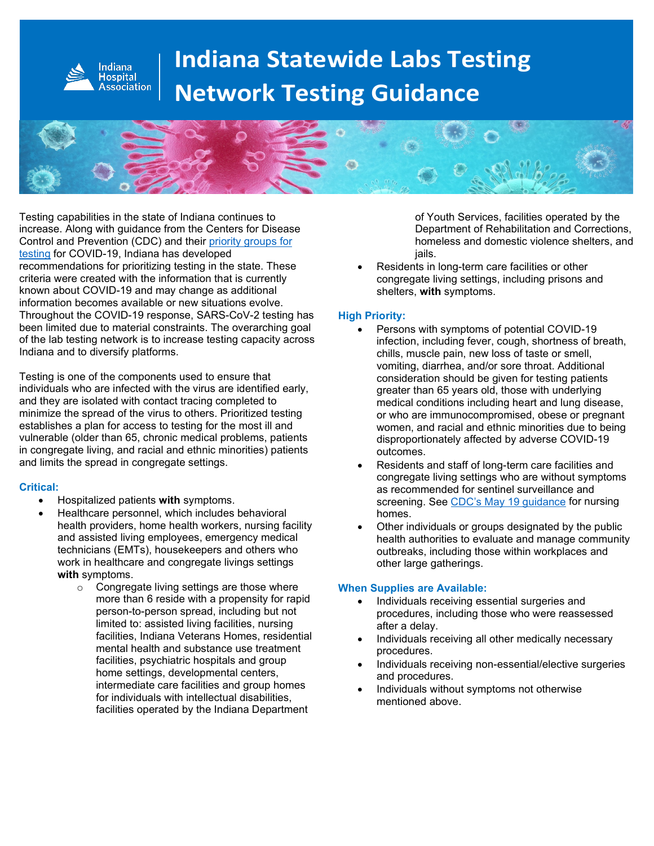

# **Indiana Statewide Labs Testing Network Testing Guidance**



Testing capabilities in the state of Indiana continues to increase. Along with guidance from the Centers for Disease Control and Prevention (CDC) and their [priority groups](https://www.cdc.gov/coronavirus/2019-nCoV/hcp/clinical-criteria.html) for [testing](https://www.cdc.gov/coronavirus/2019-nCoV/hcp/clinical-criteria.html) for COVID-19, Indiana has developed recommendations for prioritizing testing in the state. These criteria were created with the information that is currently known about COVID-19 and may change as additional information becomes available or new situations evolve. Throughout the COVID-19 response, SARS-CoV-2 testing has been limited due to material constraints. The overarching goal of the lab testing network is to increase testing capacity across Indiana and to diversify platforms.

Testing is one of the components used to ensure that individuals who are infected with the virus are identified early, and they are isolated with contact tracing completed to minimize the spread of the virus to others. Prioritized testing establishes a plan for access to testing for the most ill and vulnerable (older than 65, chronic medical problems, patients in congregate living, and racial and ethnic minorities) patients and limits the spread in congregate settings.

### **Critical:**

- Hospitalized patients **with** symptoms.
- Healthcare personnel, which includes behavioral health providers, home health workers, nursing facility and assisted living employees, emergency medical technicians (EMTs), housekeepers and others who work in healthcare and congregate livings settings **with** symptoms.
	- o Congregate living settings are those where more than 6 reside with a propensity for rapid person-to-person spread, including but not limited to: assisted living facilities, nursing facilities, Indiana Veterans Homes, residential mental health and substance use treatment facilities, psychiatric hospitals and group home settings, developmental centers, intermediate care facilities and group homes for individuals with intellectual disabilities, facilities operated by the Indiana Department

of Youth Services, facilities operated by the Department of Rehabilitation and Corrections, homeless and domestic violence shelters, and jails.

Residents in long-term care facilities or other congregate living settings, including prisons and shelters, **with** symptoms.

## **High Priority:**

- Persons with symptoms of potential COVID-19 infection, including fever, cough, shortness of breath, chills, muscle pain, new loss of taste or smell, vomiting, diarrhea, and/or sore throat. Additional consideration should be given for testing patients greater than 65 years old, those with underlying medical conditions including heart and lung disease, or who are immunocompromised, obese or pregnant women, and racial and ethnic minorities due to being disproportionately affected by adverse COVID-19 outcomes.
- Residents and staff of long-term care facilities and congregate living settings who are without symptoms as recommended for sentinel surveillance and screening. See [CDC's May 19 guidance](https://www.cdc.gov/coronavirus/2019-ncov/hcp/nursing-homes-testing.html) for nursing homes.
- Other individuals or groups designated by the public health authorities to evaluate and manage community outbreaks, including those within workplaces and other large gatherings.

### **When Supplies are Available:**

- Individuals receiving essential surgeries and procedures, including those who were reassessed after a delay.
- Individuals receiving all other medically necessary procedures.
- Individuals receiving non-essential/elective surgeries and procedures.
- Individuals without symptoms not otherwise mentioned above.